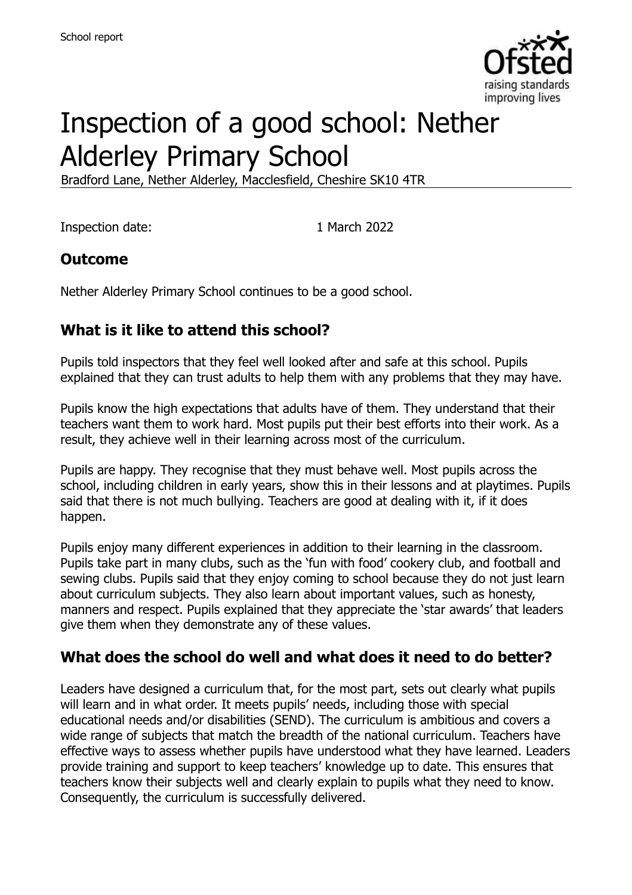

# Inspection of a good school: Nether Alderley Primary School

Bradford Lane, Nether Alderley, Macclesfield, Cheshire SK10 4TR

Inspection date: 1 March 2022

#### **Outcome**

Nether Alderley Primary School continues to be a good school.

# **What is it like to attend this school?**

Pupils told inspectors that they feel well looked after and safe at this school. Pupils explained that they can trust adults to help them with any problems that they may have.

Pupils know the high expectations that adults have of them. They understand that their teachers want them to work hard. Most pupils put their best efforts into their work. As a result, they achieve well in their learning across most of the curriculum.

Pupils are happy. They recognise that they must behave well. Most pupils across the school, including children in early years, show this in their lessons and at playtimes. Pupils said that there is not much bullying. Teachers are good at dealing with it, if it does happen.

Pupils enjoy many different experiences in addition to their learning in the classroom. Pupils take part in many clubs, such as the 'fun with food' cookery club, and football and sewing clubs. Pupils said that they enjoy coming to school because they do not just learn about curriculum subjects. They also learn about important values, such as honesty, manners and respect. Pupils explained that they appreciate the 'star awards' that leaders give them when they demonstrate any of these values.

#### **What does the school do well and what does it need to do better?**

Leaders have designed a curriculum that, for the most part, sets out clearly what pupils will learn and in what order. It meets pupils' needs, including those with special educational needs and/or disabilities (SEND). The curriculum is ambitious and covers a wide range of subjects that match the breadth of the national curriculum. Teachers have effective ways to assess whether pupils have understood what they have learned. Leaders provide training and support to keep teachers' knowledge up to date. This ensures that teachers know their subjects well and clearly explain to pupils what they need to know. Consequently, the curriculum is successfully delivered.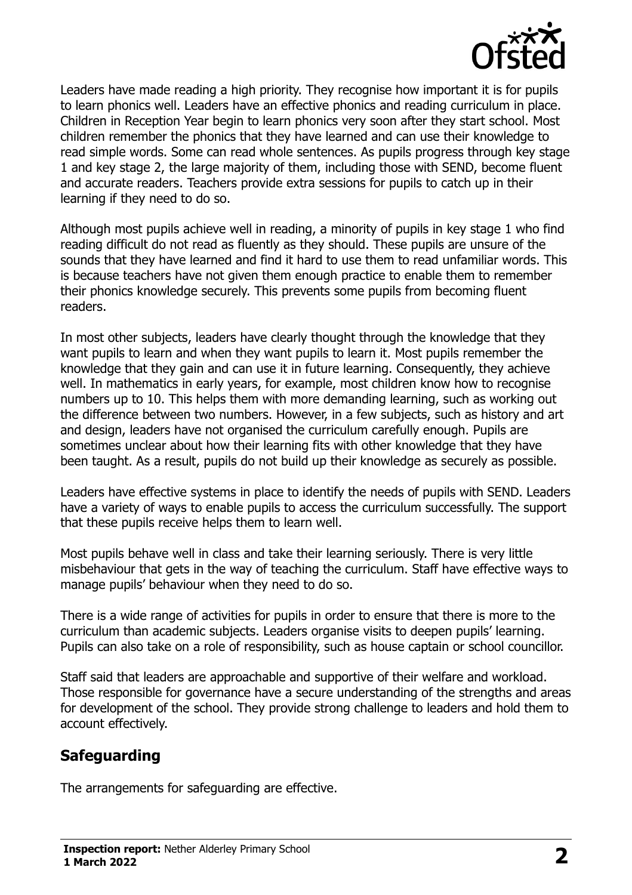

Leaders have made reading a high priority. They recognise how important it is for pupils to learn phonics well. Leaders have an effective phonics and reading curriculum in place. Children in Reception Year begin to learn phonics very soon after they start school. Most children remember the phonics that they have learned and can use their knowledge to read simple words. Some can read whole sentences. As pupils progress through key stage 1 and key stage 2, the large majority of them, including those with SEND, become fluent and accurate readers. Teachers provide extra sessions for pupils to catch up in their learning if they need to do so.

Although most pupils achieve well in reading, a minority of pupils in key stage 1 who find reading difficult do not read as fluently as they should. These pupils are unsure of the sounds that they have learned and find it hard to use them to read unfamiliar words. This is because teachers have not given them enough practice to enable them to remember their phonics knowledge securely. This prevents some pupils from becoming fluent readers.

In most other subjects, leaders have clearly thought through the knowledge that they want pupils to learn and when they want pupils to learn it. Most pupils remember the knowledge that they gain and can use it in future learning. Consequently, they achieve well. In mathematics in early years, for example, most children know how to recognise numbers up to 10. This helps them with more demanding learning, such as working out the difference between two numbers. However, in a few subjects, such as history and art and design, leaders have not organised the curriculum carefully enough. Pupils are sometimes unclear about how their learning fits with other knowledge that they have been taught. As a result, pupils do not build up their knowledge as securely as possible.

Leaders have effective systems in place to identify the needs of pupils with SEND. Leaders have a variety of ways to enable pupils to access the curriculum successfully. The support that these pupils receive helps them to learn well.

Most pupils behave well in class and take their learning seriously. There is very little misbehaviour that gets in the way of teaching the curriculum. Staff have effective ways to manage pupils' behaviour when they need to do so.

There is a wide range of activities for pupils in order to ensure that there is more to the curriculum than academic subjects. Leaders organise visits to deepen pupils' learning. Pupils can also take on a role of responsibility, such as house captain or school councillor.

Staff said that leaders are approachable and supportive of their welfare and workload. Those responsible for governance have a secure understanding of the strengths and areas for development of the school. They provide strong challenge to leaders and hold them to account effectively.

# **Safeguarding**

The arrangements for safeguarding are effective.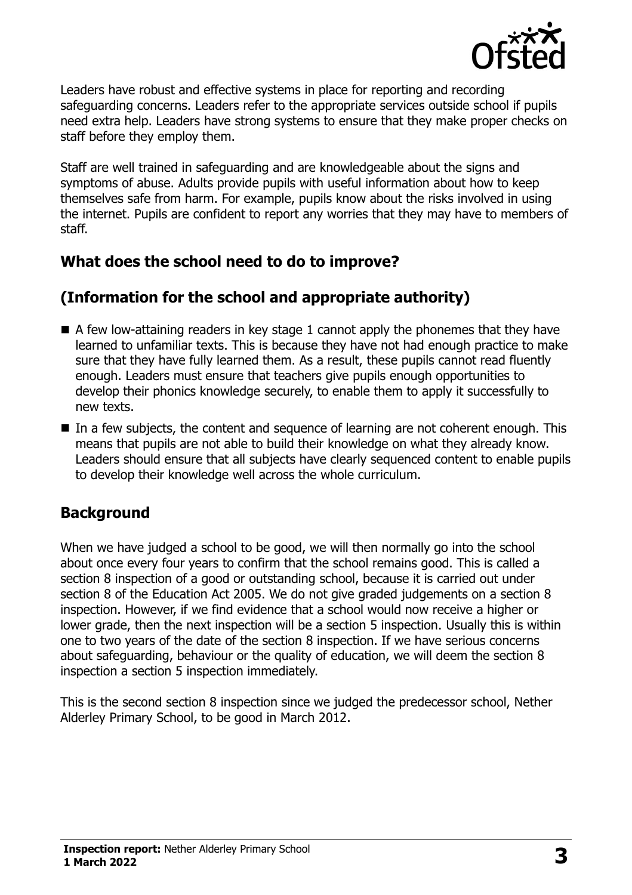

Leaders have robust and effective systems in place for reporting and recording safeguarding concerns. Leaders refer to the appropriate services outside school if pupils need extra help. Leaders have strong systems to ensure that they make proper checks on staff before they employ them.

Staff are well trained in safeguarding and are knowledgeable about the signs and symptoms of abuse. Adults provide pupils with useful information about how to keep themselves safe from harm. For example, pupils know about the risks involved in using the internet. Pupils are confident to report any worries that they may have to members of staff.

## **What does the school need to do to improve?**

# **(Information for the school and appropriate authority)**

- $\blacksquare$  A few low-attaining readers in key stage 1 cannot apply the phonemes that they have learned to unfamiliar texts. This is because they have not had enough practice to make sure that they have fully learned them. As a result, these pupils cannot read fluently enough. Leaders must ensure that teachers give pupils enough opportunities to develop their phonics knowledge securely, to enable them to apply it successfully to new texts.
- In a few subjects, the content and sequence of learning are not coherent enough. This means that pupils are not able to build their knowledge on what they already know. Leaders should ensure that all subjects have clearly sequenced content to enable pupils to develop their knowledge well across the whole curriculum.

# **Background**

When we have judged a school to be good, we will then normally go into the school about once every four years to confirm that the school remains good. This is called a section 8 inspection of a good or outstanding school, because it is carried out under section 8 of the Education Act 2005. We do not give graded judgements on a section 8 inspection. However, if we find evidence that a school would now receive a higher or lower grade, then the next inspection will be a section 5 inspection. Usually this is within one to two years of the date of the section 8 inspection. If we have serious concerns about safeguarding, behaviour or the quality of education, we will deem the section 8 inspection a section 5 inspection immediately.

This is the second section 8 inspection since we judged the predecessor school, Nether Alderley Primary School, to be good in March 2012.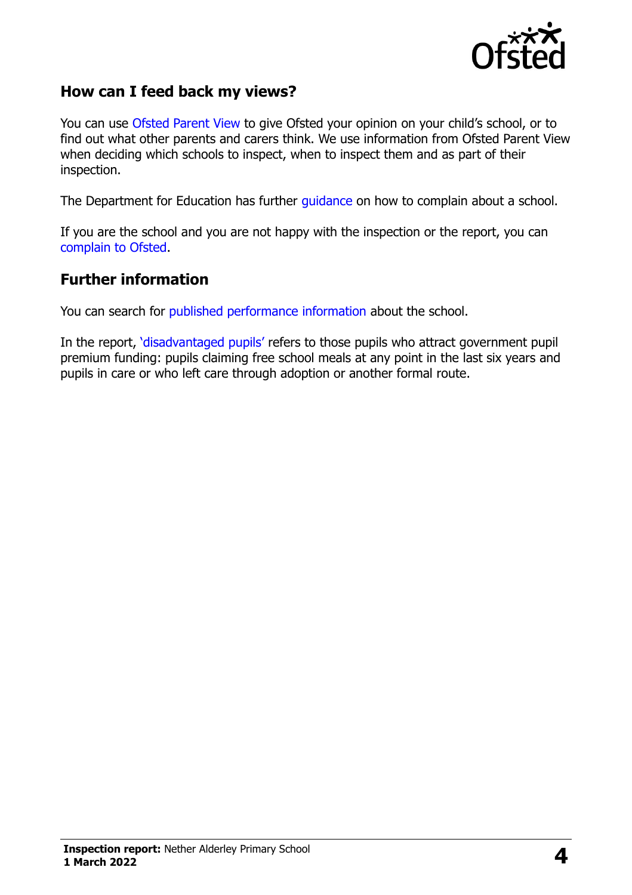

#### **How can I feed back my views?**

You can use [Ofsted Parent View](https://parentview.ofsted.gov.uk/) to give Ofsted your opinion on your child's school, or to find out what other parents and carers think. We use information from Ofsted Parent View when deciding which schools to inspect, when to inspect them and as part of their inspection.

The Department for Education has further [guidance](http://www.gov.uk/complain-about-school) on how to complain about a school.

If you are the school and you are not happy with the inspection or the report, you can [complain to Ofsted.](https://www.gov.uk/complain-ofsted-report)

#### **Further information**

You can search for [published performance information](http://www.compare-school-performance.service.gov.uk/) about the school.

In the report, '[disadvantaged pupils](http://www.gov.uk/guidance/pupil-premium-information-for-schools-and-alternative-provision-settings)' refers to those pupils who attract government pupil premium funding: pupils claiming free school meals at any point in the last six years and pupils in care or who left care through adoption or another formal route.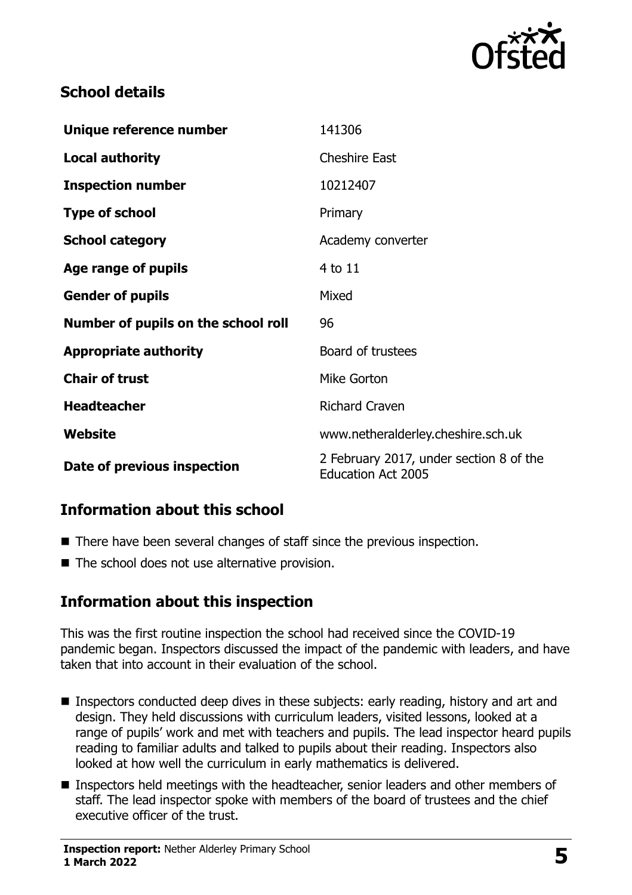

## **School details**

| Unique reference number             | 141306                                                               |
|-------------------------------------|----------------------------------------------------------------------|
| <b>Local authority</b>              | <b>Cheshire East</b>                                                 |
| <b>Inspection number</b>            | 10212407                                                             |
| <b>Type of school</b>               | Primary                                                              |
| <b>School category</b>              | Academy converter                                                    |
| Age range of pupils                 | 4 to 11                                                              |
| <b>Gender of pupils</b>             | Mixed                                                                |
| Number of pupils on the school roll | 96                                                                   |
| <b>Appropriate authority</b>        | Board of trustees                                                    |
| <b>Chair of trust</b>               | Mike Gorton                                                          |
| <b>Headteacher</b>                  | <b>Richard Craven</b>                                                |
| Website                             | www.netheralderley.cheshire.sch.uk                                   |
| Date of previous inspection         | 2 February 2017, under section 8 of the<br><b>Education Act 2005</b> |

# **Information about this school**

- There have been several changes of staff since the previous inspection.
- The school does not use alternative provision.

#### **Information about this inspection**

This was the first routine inspection the school had received since the COVID-19 pandemic began. Inspectors discussed the impact of the pandemic with leaders, and have taken that into account in their evaluation of the school.

- Inspectors conducted deep dives in these subjects: early reading, history and art and design. They held discussions with curriculum leaders, visited lessons, looked at a range of pupils' work and met with teachers and pupils. The lead inspector heard pupils reading to familiar adults and talked to pupils about their reading. Inspectors also looked at how well the curriculum in early mathematics is delivered.
- **Inspectors held meetings with the headteacher, senior leaders and other members of** staff. The lead inspector spoke with members of the board of trustees and the chief executive officer of the trust.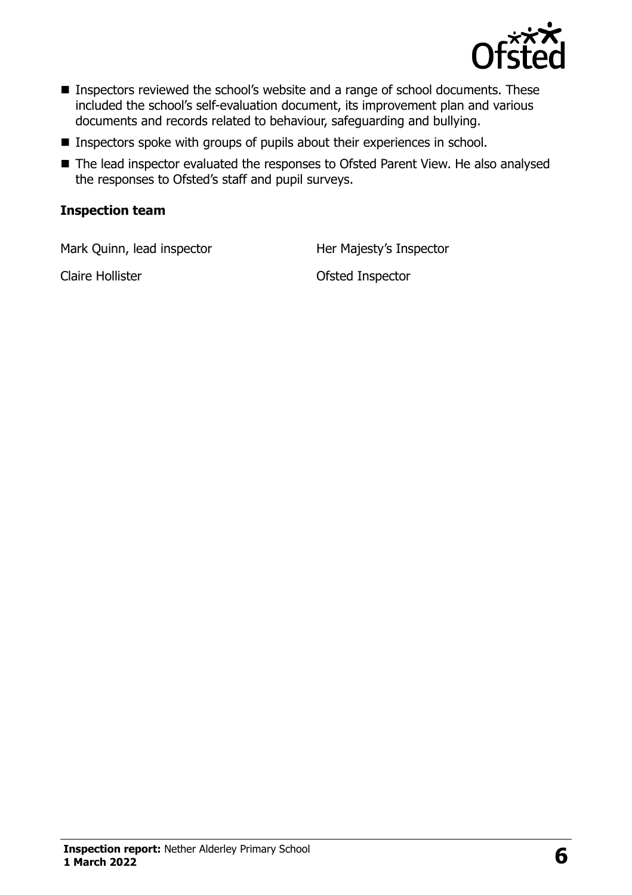

- **Inspectors reviewed the school's website and a range of school documents. These** included the school's self-evaluation document, its improvement plan and various documents and records related to behaviour, safeguarding and bullying.
- $\blacksquare$  Inspectors spoke with groups of pupils about their experiences in school.
- The lead inspector evaluated the responses to Ofsted Parent View. He also analysed the responses to Ofsted's staff and pupil surveys.

#### **Inspection team**

Mark Quinn, lead inspector **Her Majesty's Inspector** 

Claire Hollister **Claire Hollister** Claire **Hollister Ofsted Inspector**